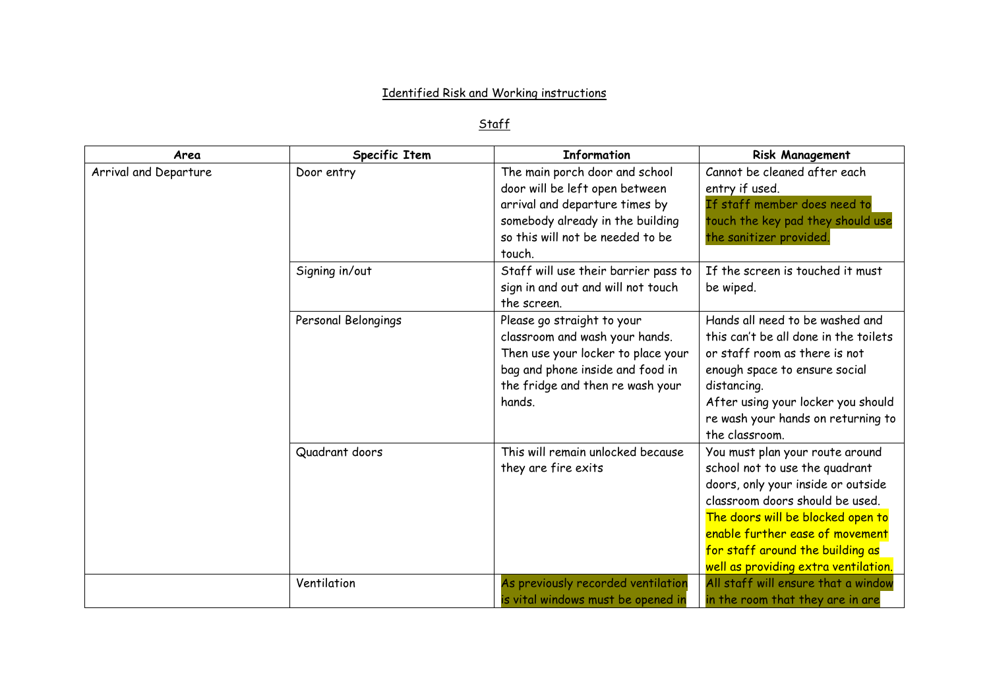## **Identified Risk and Working instructions**

## Staff

| Area                  | Specific Item       | <b>Information</b>                                                                                                                                                                   | <b>Risk Management</b>                                                                                                                                                                                                                                                                         |
|-----------------------|---------------------|--------------------------------------------------------------------------------------------------------------------------------------------------------------------------------------|------------------------------------------------------------------------------------------------------------------------------------------------------------------------------------------------------------------------------------------------------------------------------------------------|
| Arrival and Departure | Door entry          | The main porch door and school<br>door will be left open between<br>arrival and departure times by<br>somebody already in the building<br>so this will not be needed to be<br>touch. | Cannot be cleaned after each<br>entry if used.<br>If staff member does need to<br>touch the key pad they should use<br>the sanitizer provided.                                                                                                                                                 |
|                       | Signing in/out      | Staff will use their barrier pass to<br>sign in and out and will not touch<br>the screen.                                                                                            | If the screen is touched it must<br>be wiped.                                                                                                                                                                                                                                                  |
|                       | Personal Belongings | Please go straight to your<br>classroom and wash your hands.<br>Then use your locker to place your<br>bag and phone inside and food in<br>the fridge and then re wash your<br>hands. | Hands all need to be washed and<br>this can't be all done in the toilets<br>or staff room as there is not<br>enough space to ensure social<br>distancing.<br>After using your locker you should<br>re wash your hands on returning to<br>the classroom.                                        |
|                       | Quadrant doors      | This will remain unlocked because<br>they are fire exits                                                                                                                             | You must plan your route around<br>school not to use the quadrant<br>doors, only your inside or outside<br>classroom doors should be used.<br>The doors will be blocked open to<br>enable further ease of movement<br>for staff around the building as<br>well as providing extra ventilation. |
|                       | Ventilation         | As previously recorded ventilation<br>is vital windows must be opened in                                                                                                             | All staff will ensure that a window<br>in the room that they are in are                                                                                                                                                                                                                        |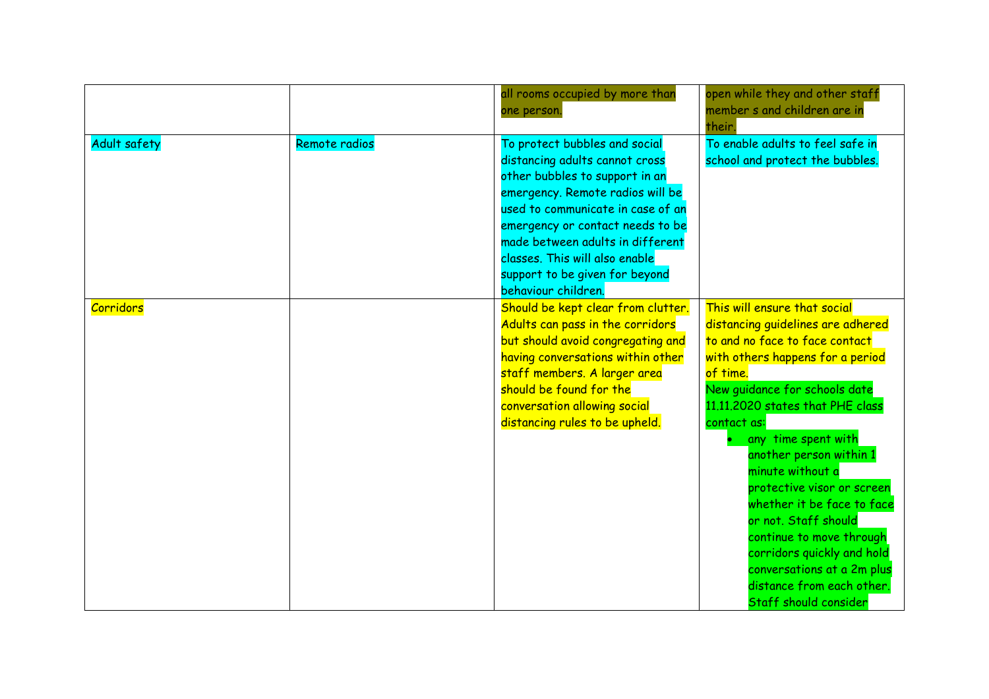|              |               | all rooms occupied by more than<br>one person.                                                                                                                                                                                                                                                                                                | open while they and other staff<br>member s and children are in<br>their.                                                                                                                                                                                                                                                                                                                                                                                                                                                                       |
|--------------|---------------|-----------------------------------------------------------------------------------------------------------------------------------------------------------------------------------------------------------------------------------------------------------------------------------------------------------------------------------------------|-------------------------------------------------------------------------------------------------------------------------------------------------------------------------------------------------------------------------------------------------------------------------------------------------------------------------------------------------------------------------------------------------------------------------------------------------------------------------------------------------------------------------------------------------|
| Adult safety | Remote radios | To protect bubbles and social<br>distancing adults cannot cross<br>other bubbles to support in an<br>emergency. Remote radios will be<br>used to communicate in case of an<br>emergency or contact needs to be<br>made between adults in different<br>classes. This will also enable<br>support to be given for beyond<br>behaviour children. | To enable adults to feel safe in<br>school and protect the bubbles.                                                                                                                                                                                                                                                                                                                                                                                                                                                                             |
| Corridors    |               | Should be kept clear from clutter.<br>Adults can pass in the corridors<br>but should avoid congregating and<br>having conversations within other<br>staff members. A larger area<br>should be found for the<br>conversation allowing social<br>distancing rules to be upheld.                                                                 | This will ensure that social<br>distancing quidelines are adhered<br>to and no face to face contact<br>with others happens for a period<br>of time.<br>New guidance for schools date<br>11.11.2020 states that PHE class<br>contact as:<br>any time spent with<br>another person within 1<br>minute without a<br>protective visor or screen<br>whether it be face to face<br>or not. Staff should<br>continue to move through<br>corridors quickly and hold<br>conversations at a 2m plus<br>distance from each other.<br>Staff should consider |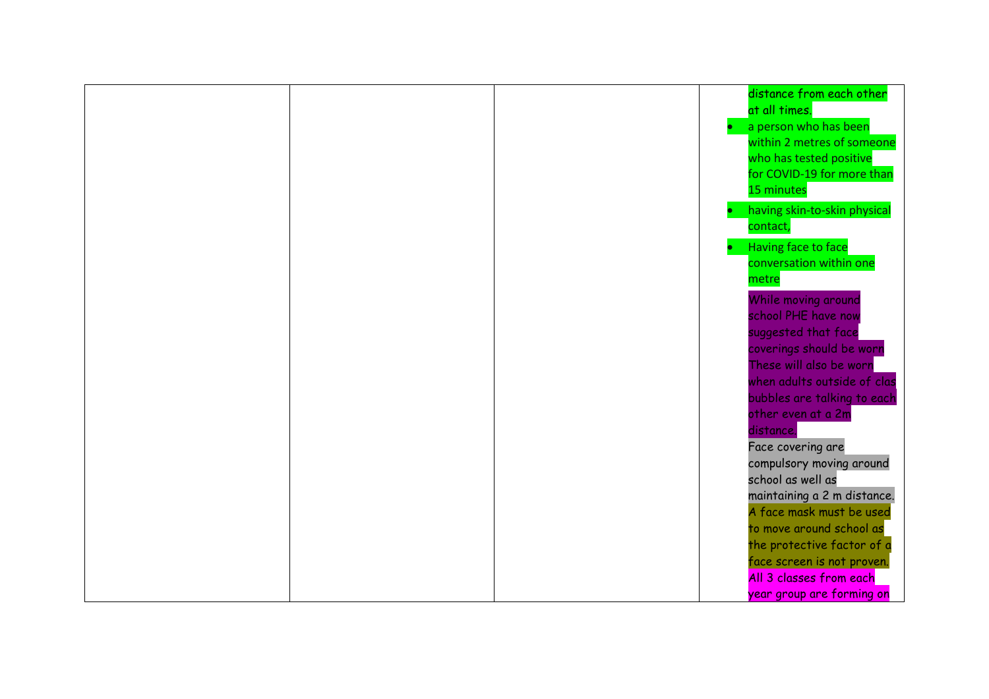|  | distance from each other     |
|--|------------------------------|
|  | at all times.                |
|  | a person who has been        |
|  | within 2 metres of someone   |
|  | who has tested positive      |
|  | for COVID-19 for more than   |
|  | 15 minutes                   |
|  | having skin-to-skin physical |
|  | contact,                     |
|  | Having face to face          |
|  | conversation within one      |
|  | metre                        |
|  | While moving around          |
|  | school PHE have now          |
|  | suggested that face          |
|  | coverings should be worn     |
|  | These will also be worn      |
|  | when adults outside of clas  |
|  | bubbles are talking to each  |
|  | other even at a 2m           |
|  | distance.                    |
|  | Face covering are            |
|  | compulsory moving around     |
|  | school as well as            |
|  | maintaining a 2 m distance.  |
|  | A face mask must be used     |
|  | to move around school as     |
|  | the protective factor of a   |
|  | face screen is not proven.   |
|  | All 3 classes from each      |
|  | year group are forming on    |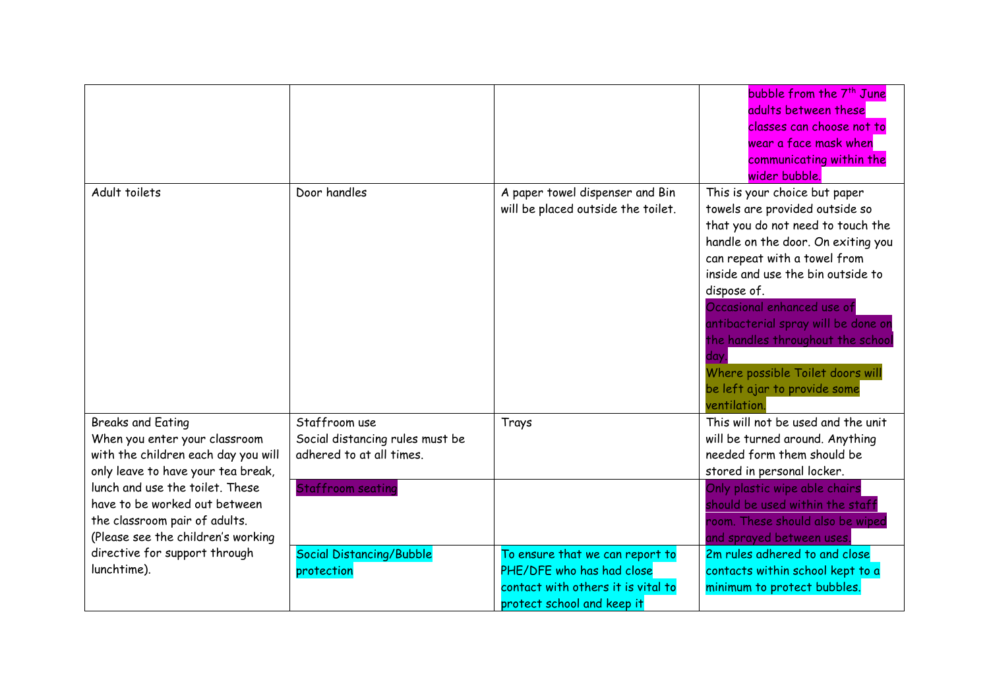|                                                                  |                                 |                                                              | bubble from the 7 <sup>th</sup> June                       |
|------------------------------------------------------------------|---------------------------------|--------------------------------------------------------------|------------------------------------------------------------|
|                                                                  |                                 |                                                              | adults between these                                       |
|                                                                  |                                 |                                                              | classes can choose not to                                  |
|                                                                  |                                 |                                                              | wear a face mask when                                      |
|                                                                  |                                 |                                                              | communicating within the                                   |
|                                                                  |                                 |                                                              | wider bubble.                                              |
| Adult toilets                                                    | Door handles                    | A paper towel dispenser and Bin                              | This is your choice but paper                              |
|                                                                  |                                 | will be placed outside the toilet.                           | towels are provided outside so                             |
|                                                                  |                                 |                                                              | that you do not need to touch the                          |
|                                                                  |                                 |                                                              | handle on the door. On exiting you                         |
|                                                                  |                                 |                                                              | can repeat with a towel from                               |
|                                                                  |                                 |                                                              | inside and use the bin outside to                          |
|                                                                  |                                 |                                                              | dispose of.                                                |
|                                                                  |                                 |                                                              | Occasional enhanced use of                                 |
|                                                                  |                                 |                                                              | antibacterial spray will be done on                        |
|                                                                  |                                 |                                                              | the handles throughout the school                          |
|                                                                  |                                 |                                                              | dav                                                        |
|                                                                  |                                 |                                                              | Where possible Toilet doors will                           |
|                                                                  |                                 |                                                              | be left ajar to provide some                               |
|                                                                  |                                 |                                                              | ventilation                                                |
| <b>Breaks and Eating</b>                                         | Staffroom use                   | Trays                                                        | This will not be used and the unit                         |
| When you enter your classroom                                    | Social distancing rules must be |                                                              | will be turned around. Anything                            |
| with the children each day you will                              | adhered to at all times.        |                                                              | needed form them should be                                 |
| only leave to have your tea break,                               |                                 |                                                              | stored in personal locker.                                 |
| lunch and use the toilet. These<br>have to be worked out between | <b>Staffroom seating</b>        |                                                              | Only plastic wipe able chairs                              |
|                                                                  |                                 |                                                              | should be used within the staff                            |
| the classroom pair of adults.                                    |                                 |                                                              | room. These should also be wiped                           |
| (Please see the children's working                               |                                 |                                                              | and sprayed between uses.<br>2m rules adhered to and close |
| directive for support through<br>lunchtime).                     | Social Distancing/Bubble        | To ensure that we can report to<br>PHE/DFE who has had close |                                                            |
|                                                                  | protection                      | contact with others it is vital to                           | contacts within school kept to a                           |
|                                                                  |                                 | protect school and keep it                                   | minimum to protect bubbles.                                |
|                                                                  |                                 |                                                              |                                                            |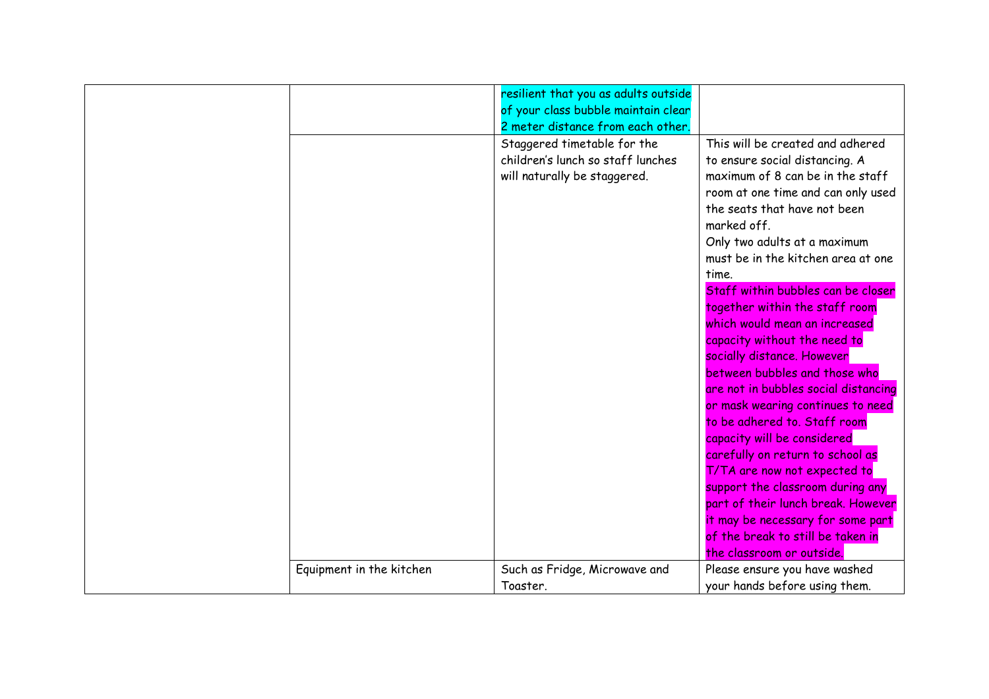|                          | resilient that you as adults outside<br>of your class bubble maintain clear<br>2 meter distance from each other. |                                                                                                                                                                                                                                                                                                                                                                                                                                                                                                                                                                                                                                                                                                                                                                                                                                                                                     |
|--------------------------|------------------------------------------------------------------------------------------------------------------|-------------------------------------------------------------------------------------------------------------------------------------------------------------------------------------------------------------------------------------------------------------------------------------------------------------------------------------------------------------------------------------------------------------------------------------------------------------------------------------------------------------------------------------------------------------------------------------------------------------------------------------------------------------------------------------------------------------------------------------------------------------------------------------------------------------------------------------------------------------------------------------|
|                          | Staggered timetable for the<br>children's lunch so staff lunches<br>will naturally be staggered.                 | This will be created and adhered<br>to ensure social distancing. A<br>maximum of 8 can be in the staff<br>room at one time and can only used<br>the seats that have not been<br>marked off.<br>Only two adults at a maximum<br>must be in the kitchen area at one<br>time.<br>Staff within bubbles can be closer<br>together within the staff room<br>which would mean an increased<br>capacity without the need to<br>socially distance. However<br>between bubbles and those who<br>are not in bubbles social distancing<br>or mask wearing continues to need<br>to be adhered to. Staff room<br>capacity will be considered<br>carefully on return to school as<br>T/TA are now not expected to<br>support the classroom during any<br>part of their lunch break. However<br>it may be necessary for some part<br>of the break to still be taken in<br>the classroom or outside. |
| Equipment in the kitchen | Such as Fridge, Microwave and<br>Toaster.                                                                        | Please ensure you have washed<br>your hands before using them.                                                                                                                                                                                                                                                                                                                                                                                                                                                                                                                                                                                                                                                                                                                                                                                                                      |
|                          |                                                                                                                  |                                                                                                                                                                                                                                                                                                                                                                                                                                                                                                                                                                                                                                                                                                                                                                                                                                                                                     |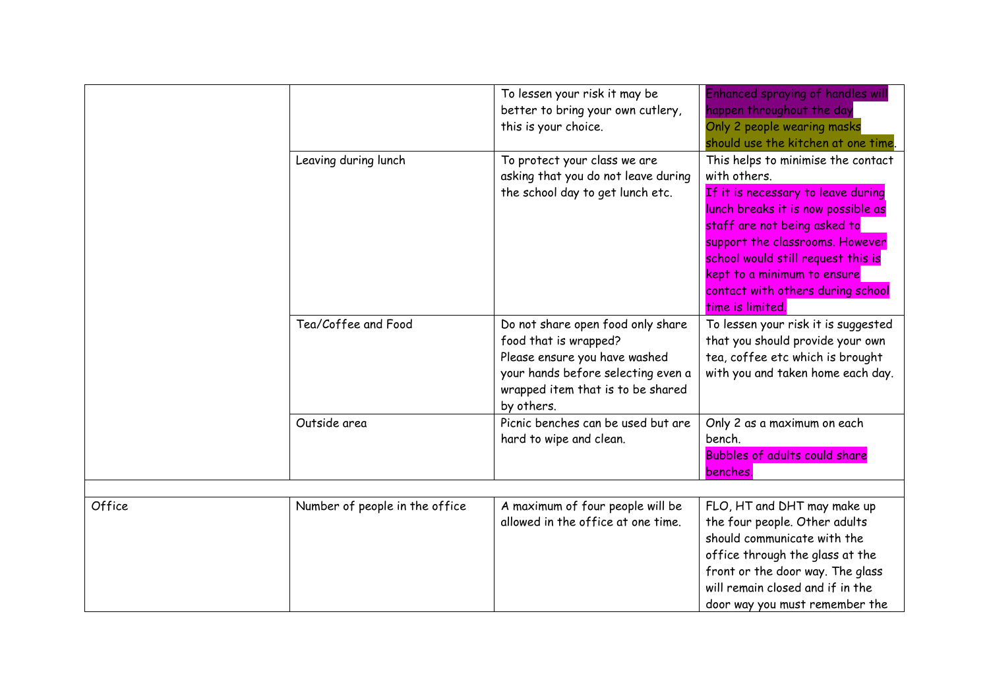|        |                                | To lessen your risk it may be<br>better to bring your own cutlery,<br>this is your choice.                                                                                           | <b>Enhanced spraying of handles wil</b><br>happen throughout the day<br>Only 2 people wearing masks<br>should use the kitchen at one time.                                                                                                                                                                                      |
|--------|--------------------------------|--------------------------------------------------------------------------------------------------------------------------------------------------------------------------------------|---------------------------------------------------------------------------------------------------------------------------------------------------------------------------------------------------------------------------------------------------------------------------------------------------------------------------------|
|        | Leaving during lunch           | To protect your class we are<br>asking that you do not leave during<br>the school day to get lunch etc.                                                                              | This helps to minimise the contact<br>with others.<br>If it is necessary to leave during<br>lunch breaks it is now possible as<br>staff are not being asked to<br>support the classrooms. However<br>school would still request this is<br>kept to a minimum to ensure<br>contact with others during school<br>time is limited. |
|        | Tea/Coffee and Food            | Do not share open food only share<br>food that is wrapped?<br>Please ensure you have washed<br>your hands before selecting even a<br>wrapped item that is to be shared<br>by others. | To lessen your risk it is suggested<br>that you should provide your own<br>tea, coffee etc which is brought<br>with you and taken home each day.                                                                                                                                                                                |
|        | Outside area                   | Picnic benches can be used but are<br>hard to wipe and clean.                                                                                                                        | Only 2 as a maximum on each<br>bench.<br><b>Bubbles of adults could share</b><br>benches.                                                                                                                                                                                                                                       |
| Office | Number of people in the office | A maximum of four people will be<br>allowed in the office at one time.                                                                                                               | FLO, HT and DHT may make up<br>the four people. Other adults<br>should communicate with the<br>office through the glass at the<br>front or the door way. The glass<br>will remain closed and if in the<br>door way you must remember the                                                                                        |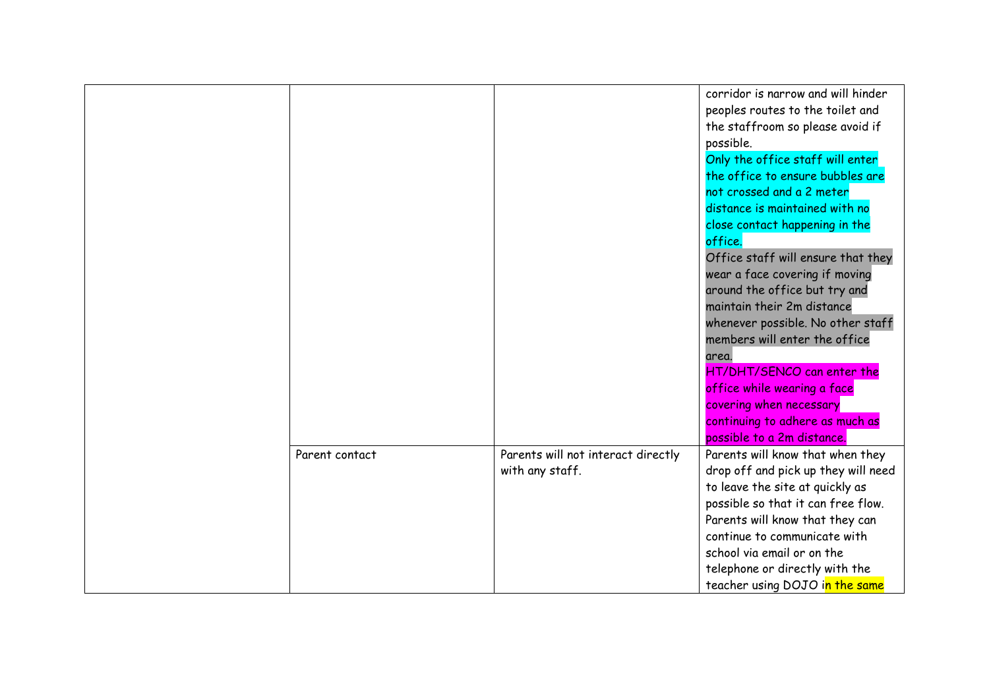|                |                                                       | corridor is narrow and will hinder<br>peoples routes to the toilet and<br>the staffroom so please avoid if<br>possible.<br>Only the office staff will enter<br>the office to ensure bubbles are<br>not crossed and a 2 meter<br>distance is maintained with no<br>close contact happening in the<br>office.<br>Office staff will ensure that they<br>wear a face covering if moving<br>around the office but try and<br>maintain their 2m distance<br>whenever possible. No other staff<br>members will enter the office<br>area.<br>HT/DHT/SENCO can enter the<br>office while wearing a face<br>covering when necessary<br>continuing to adhere as much as<br>possible to a 2m distance. |
|----------------|-------------------------------------------------------|--------------------------------------------------------------------------------------------------------------------------------------------------------------------------------------------------------------------------------------------------------------------------------------------------------------------------------------------------------------------------------------------------------------------------------------------------------------------------------------------------------------------------------------------------------------------------------------------------------------------------------------------------------------------------------------------|
| Parent contact | Parents will not interact directly<br>with any staff. | Parents will know that when they<br>drop off and pick up they will need<br>to leave the site at quickly as<br>possible so that it can free flow.<br>Parents will know that they can<br>continue to communicate with<br>school via email or on the<br>telephone or directly with the<br>teacher using DOJO in the same                                                                                                                                                                                                                                                                                                                                                                      |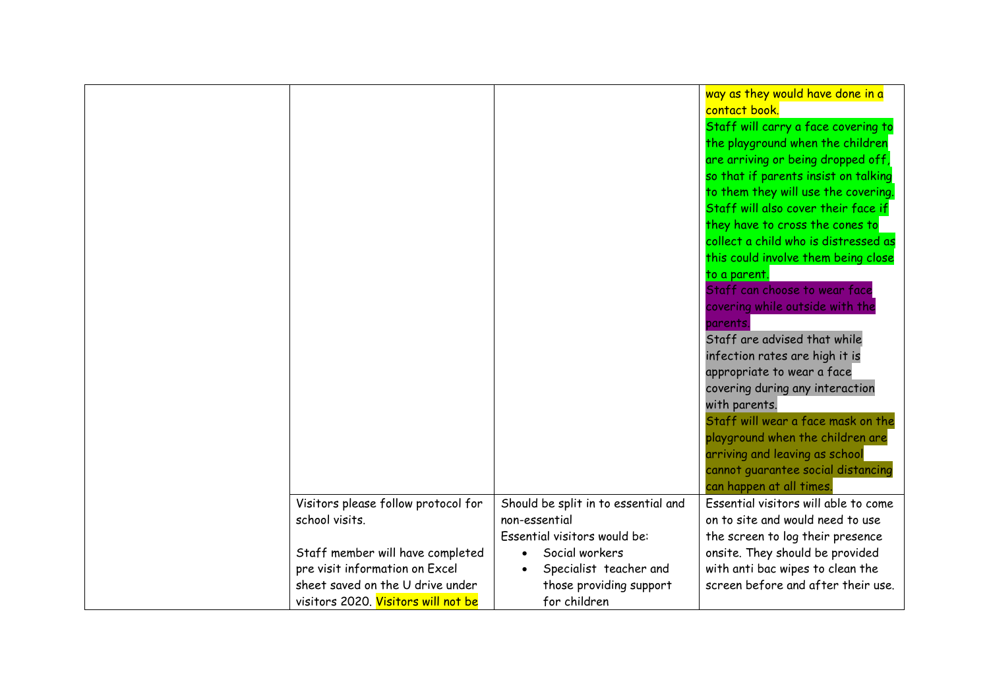|                                                                    |                                                                                      | way as they would have done in a<br>contact book.<br>Staff will carry a face covering to<br>the playground when the children<br>are arriving or being dropped off,<br>so that if parents insist on talking<br>to them they will use the covering.<br>Staff will also cover their face if<br>they have to cross the cones to<br>collect a child who is distressed as<br>this could involve them being close<br>to a parent.<br>Staff can choose to wear face<br>covering while outside with the<br>parents.<br>Staff are advised that while<br>infection rates are high it is<br>appropriate to wear a face<br>covering during any interaction<br>with parents.<br>Staff will wear a face mask on the<br>playground when the children are<br>arriving and leaving as school<br>cannot guarantee social distancing<br>can happen at all times. |
|--------------------------------------------------------------------|--------------------------------------------------------------------------------------|----------------------------------------------------------------------------------------------------------------------------------------------------------------------------------------------------------------------------------------------------------------------------------------------------------------------------------------------------------------------------------------------------------------------------------------------------------------------------------------------------------------------------------------------------------------------------------------------------------------------------------------------------------------------------------------------------------------------------------------------------------------------------------------------------------------------------------------------|
| Visitors please follow protocol for<br>school visits.              | Should be split in to essential and<br>non-essential<br>Essential visitors would be: | Essential visitors will able to come<br>on to site and would need to use                                                                                                                                                                                                                                                                                                                                                                                                                                                                                                                                                                                                                                                                                                                                                                     |
|                                                                    | Social workers                                                                       | the screen to log their presence                                                                                                                                                                                                                                                                                                                                                                                                                                                                                                                                                                                                                                                                                                                                                                                                             |
| Staff member will have completed<br>pre visit information on Excel | Specialist teacher and                                                               | onsite. They should be provided<br>with anti bac wipes to clean the                                                                                                                                                                                                                                                                                                                                                                                                                                                                                                                                                                                                                                                                                                                                                                          |
| sheet saved on the U drive under                                   | those providing support                                                              | screen before and after their use.                                                                                                                                                                                                                                                                                                                                                                                                                                                                                                                                                                                                                                                                                                                                                                                                           |
| visitors 2020. Visitors will not be                                | for children                                                                         |                                                                                                                                                                                                                                                                                                                                                                                                                                                                                                                                                                                                                                                                                                                                                                                                                                              |
|                                                                    |                                                                                      |                                                                                                                                                                                                                                                                                                                                                                                                                                                                                                                                                                                                                                                                                                                                                                                                                                              |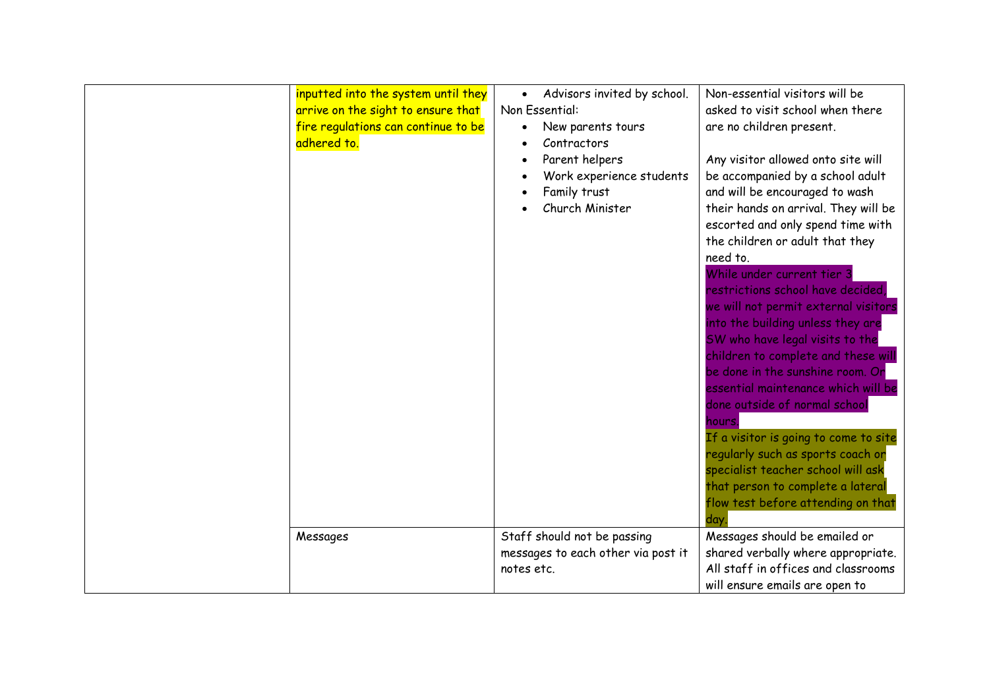| inputted into the system until they<br>arrive on the sight to ensure that<br>fire regulations can continue to be<br>adhered to. | Advisors invited by school.<br>Non Essential:<br>New parents tours<br>Contractors<br>Parent helpers<br>Work experience students<br>Family trust<br>Church Minister | Non-essential visitors will be<br>asked to visit school when there<br>are no children present.<br>Any visitor allowed onto site will<br>be accompanied by a school adult<br>and will be encouraged to wash<br>their hands on arrival. They will be<br>escorted and only spend time with<br>the children or adult that they<br>need to.<br>While under current tier 3<br>restrictions school have decided,<br>we will not permit external visitors<br>into the building unless they are<br>SW who have legal visits to the<br>children to complete and these will<br>be done in the sunshine room. Or<br>essential maintenance which will be<br>done outside of normal school<br>hours.<br>If a visitor is going to come to site<br>regularly such as sports coach or<br>specialist teacher school will ask<br>that person to complete a lateral<br>flow test before attending on that<br>dav |
|---------------------------------------------------------------------------------------------------------------------------------|--------------------------------------------------------------------------------------------------------------------------------------------------------------------|----------------------------------------------------------------------------------------------------------------------------------------------------------------------------------------------------------------------------------------------------------------------------------------------------------------------------------------------------------------------------------------------------------------------------------------------------------------------------------------------------------------------------------------------------------------------------------------------------------------------------------------------------------------------------------------------------------------------------------------------------------------------------------------------------------------------------------------------------------------------------------------------|
| Messages                                                                                                                        | Staff should not be passing<br>messages to each other via post it<br>notes etc.                                                                                    | Messages should be emailed or<br>shared verbally where appropriate.<br>All staff in offices and classrooms<br>will ensure emails are open to                                                                                                                                                                                                                                                                                                                                                                                                                                                                                                                                                                                                                                                                                                                                                 |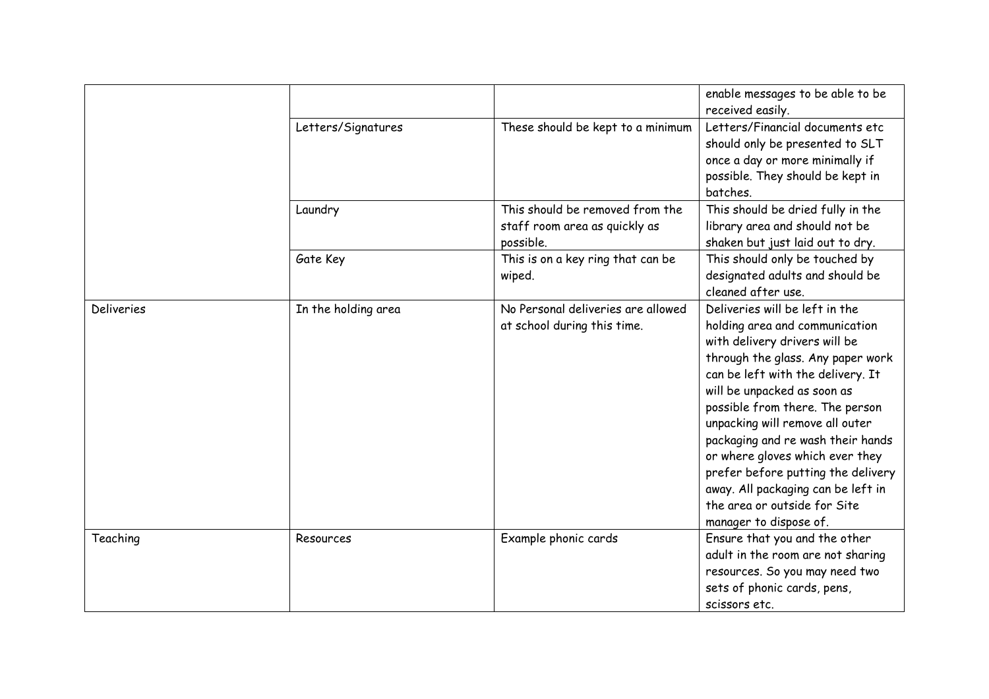|                   |                     |                                                                               | enable messages to be able to be<br>received easily.                                                                                                                                                                                                                                                                                                                                                                                                                                           |
|-------------------|---------------------|-------------------------------------------------------------------------------|------------------------------------------------------------------------------------------------------------------------------------------------------------------------------------------------------------------------------------------------------------------------------------------------------------------------------------------------------------------------------------------------------------------------------------------------------------------------------------------------|
|                   | Letters/Signatures  | These should be kept to a minimum                                             | Letters/Financial documents etc<br>should only be presented to SLT<br>once a day or more minimally if<br>possible. They should be kept in<br>batches.                                                                                                                                                                                                                                                                                                                                          |
|                   | Laundry             | This should be removed from the<br>staff room area as quickly as<br>possible. | This should be dried fully in the<br>library area and should not be<br>shaken but just laid out to dry.                                                                                                                                                                                                                                                                                                                                                                                        |
|                   | Gate Key            | This is on a key ring that can be<br>wiped.                                   | This should only be touched by<br>designated adults and should be<br>cleaned after use.                                                                                                                                                                                                                                                                                                                                                                                                        |
| <b>Deliveries</b> | In the holding area | No Personal deliveries are allowed<br>at school during this time.             | Deliveries will be left in the<br>holding area and communication<br>with delivery drivers will be<br>through the glass. Any paper work<br>can be left with the delivery. It<br>will be unpacked as soon as<br>possible from there. The person<br>unpacking will remove all outer<br>packaging and re wash their hands<br>or where gloves which ever they<br>prefer before putting the delivery<br>away. All packaging can be left in<br>the area or outside for Site<br>manager to dispose of. |
| Teaching          | Resources           | Example phonic cards                                                          | Ensure that you and the other<br>adult in the room are not sharing<br>resources. So you may need two<br>sets of phonic cards, pens,<br>scissors etc.                                                                                                                                                                                                                                                                                                                                           |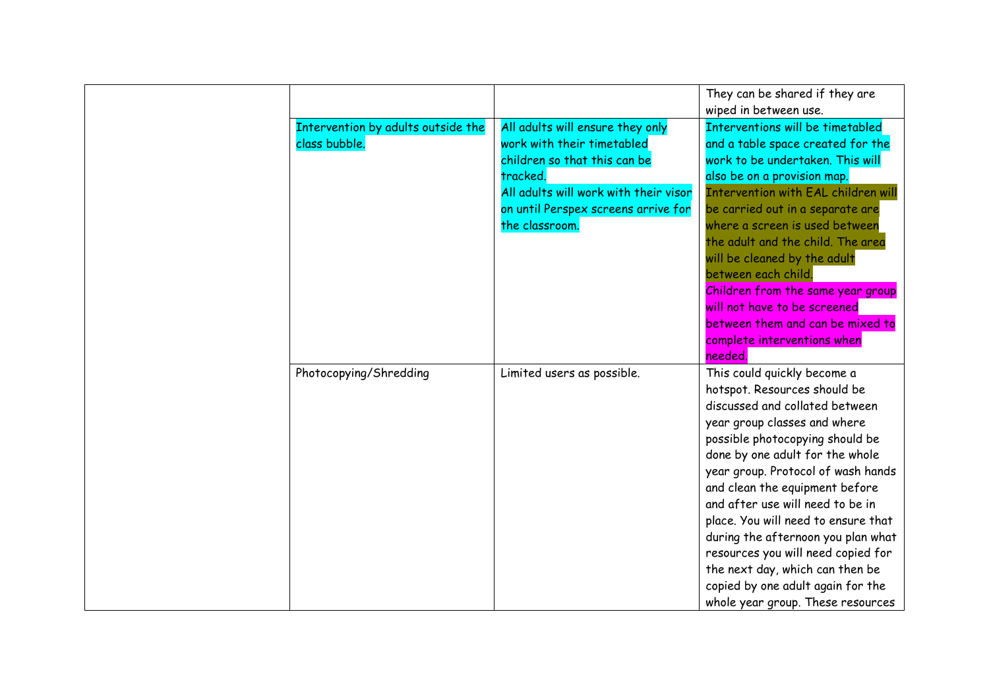|                                                     |                                                                                                                                                                                                              | They can be shared if they are<br>wiped in between use.                                                                                                                                                                                                                                                                                                                                                                                                                                                                                         |
|-----------------------------------------------------|--------------------------------------------------------------------------------------------------------------------------------------------------------------------------------------------------------------|-------------------------------------------------------------------------------------------------------------------------------------------------------------------------------------------------------------------------------------------------------------------------------------------------------------------------------------------------------------------------------------------------------------------------------------------------------------------------------------------------------------------------------------------------|
| Intervention by adults outside the<br>class bubble. | All adults will ensure they only<br>work with their timetabled<br>children so that this can be<br>tracked.<br>All adults will work with their visor<br>on until Perspex screens arrive for<br>the classroom. | Interventions will be timetabled<br>and a table space created for the<br>work to be undertaken. This will<br>also be on a provision map.<br><b>Intervention with EAL children will</b><br>be carried out in a separate are<br>where a screen is used between<br>the adult and the child. The area<br>will be cleaned by the adult<br>between each child.<br>Children from the same year group<br>will not have to be screened<br>between them and can be mixed to<br>complete interventions when<br>needed.                                     |
| Photocopying/Shredding                              | Limited users as possible.                                                                                                                                                                                   | This could quickly become a<br>hotspot. Resources should be<br>discussed and collated between<br>year group classes and where<br>possible photocopying should be<br>done by one adult for the whole<br>year group. Protocol of wash hands<br>and clean the equipment before<br>and after use will need to be in<br>place. You will need to ensure that<br>during the afternoon you plan what<br>resources you will need copied for<br>the next day, which can then be<br>copied by one adult again for the<br>whole year group. These resources |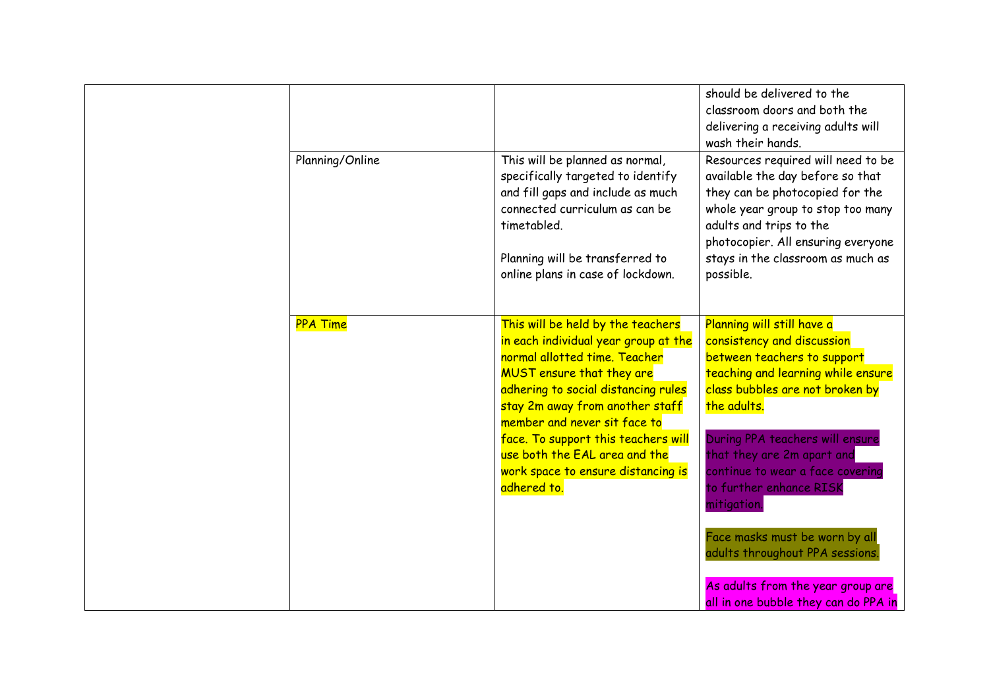|                 |                                                                                                                                                                                                                                                                                                                                                                                       | should be delivered to the<br>classroom doors and both the<br>delivering a receiving adults will<br>wash their hands.                                                                                                                                                                                                          |
|-----------------|---------------------------------------------------------------------------------------------------------------------------------------------------------------------------------------------------------------------------------------------------------------------------------------------------------------------------------------------------------------------------------------|--------------------------------------------------------------------------------------------------------------------------------------------------------------------------------------------------------------------------------------------------------------------------------------------------------------------------------|
| Planning/Online | This will be planned as normal,<br>specifically targeted to identify<br>and fill gaps and include as much<br>connected curriculum as can be<br>timetabled.<br>Planning will be transferred to<br>online plans in case of lockdown.                                                                                                                                                    | Resources required will need to be<br>available the day before so that<br>they can be photocopied for the<br>whole year group to stop too many<br>adults and trips to the<br>photocopier. All ensuring everyone<br>stays in the classroom as much as<br>possible.                                                              |
| <b>PPA Time</b> | This will be held by the teachers<br>in each individual year group at the<br>normal allotted time. Teacher<br><b>MUST</b> ensure that they are<br>adhering to social distancing rules<br>stay 2m away from another staff<br>member and never sit face to<br>face. To support this teachers will<br>use both the EAL area and the<br>work space to ensure distancing is<br>adhered to. | Planning will still have a<br>consistency and discussion<br>between teachers to support<br>teaching and learning while ensure<br>class bubbles are not broken by<br>the adults.<br>During PPA teachers will ensure<br>that they are 2m apart and<br>continue to wear a face covering<br>to further enhance RISK<br>mitigation. |
|                 |                                                                                                                                                                                                                                                                                                                                                                                       | Face masks must be worn by all<br>adults throughout PPA sessions.                                                                                                                                                                                                                                                              |
|                 |                                                                                                                                                                                                                                                                                                                                                                                       | As adults from the year group are<br>all in one bubble they can do PPA in                                                                                                                                                                                                                                                      |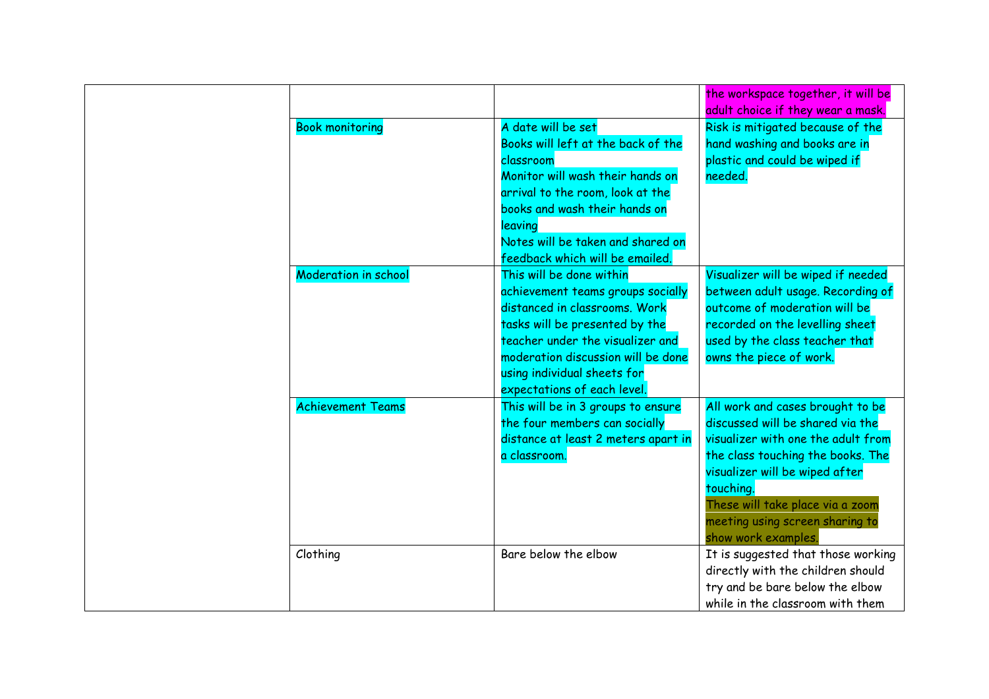|                             |                                     | the workspace together, it will be<br>adult choice if they wear a mask. |
|-----------------------------|-------------------------------------|-------------------------------------------------------------------------|
| <b>Book monitoring</b>      | A date will be set                  | Risk is mitigated because of the                                        |
|                             | Books will left at the back of the  | hand washing and books are in                                           |
|                             | classroom                           | plastic and could be wiped if                                           |
|                             | Monitor will wash their hands on    | needed.                                                                 |
|                             | arrival to the room, look at the    |                                                                         |
|                             | books and wash their hands on       |                                                                         |
|                             | leaving                             |                                                                         |
|                             | Notes will be taken and shared on   |                                                                         |
|                             | feedback which will be emailed.     |                                                                         |
| <b>Moderation in school</b> | This will be done within            | Visualizer will be wiped if needed                                      |
|                             | achievement teams groups socially   | between adult usage. Recording of                                       |
|                             | distanced in classrooms. Work       | outcome of moderation will be                                           |
|                             | tasks will be presented by the      | recorded on the levelling sheet                                         |
|                             | teacher under the visualizer and    | used by the class teacher that                                          |
|                             | moderation discussion will be done  | owns the piece of work.                                                 |
|                             | using individual sheets for         |                                                                         |
|                             | expectations of each level.         |                                                                         |
| <b>Achievement Teams</b>    | This will be in 3 groups to ensure  | All work and cases brought to be                                        |
|                             | the four members can socially       | discussed will be shared via the                                        |
|                             | distance at least 2 meters apart in | visualizer with one the adult from                                      |
|                             | a classroom.                        | the class touching the books. The                                       |
|                             |                                     | visualizer will be wiped after                                          |
|                             |                                     | touching.                                                               |
|                             |                                     | These will take place via a zoom                                        |
|                             |                                     | meeting using screen sharing to                                         |
|                             |                                     | show work examples.                                                     |
| Clothing                    | Bare below the elbow                | It is suggested that those working                                      |
|                             |                                     | directly with the children should                                       |
|                             |                                     | try and be bare below the elbow                                         |
|                             |                                     | while in the classroom with them                                        |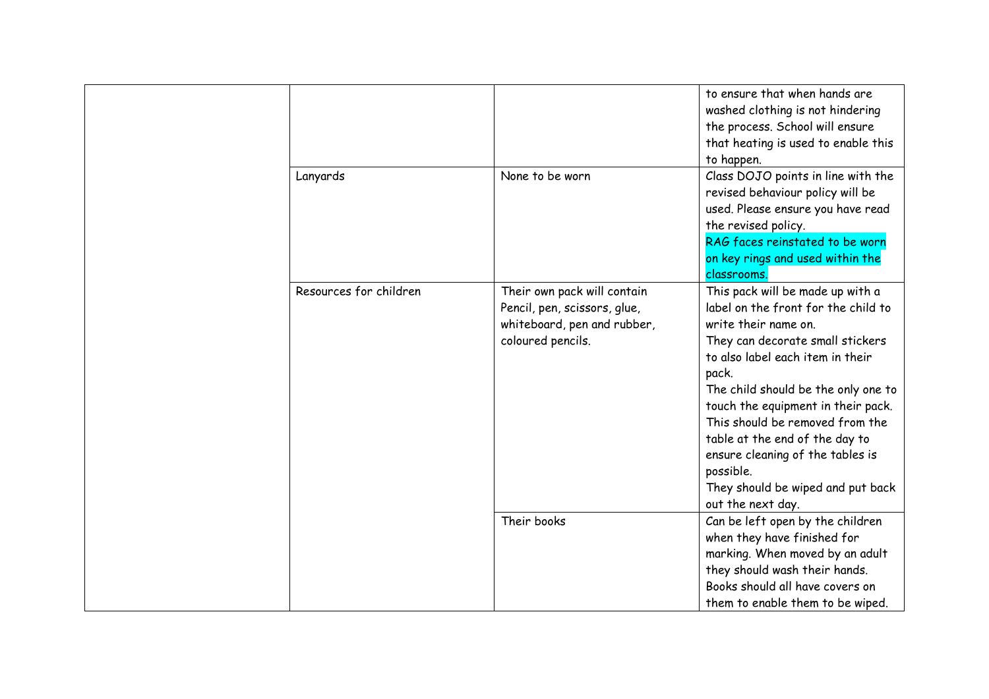|                        |                                                                                                                 | to ensure that when hands are<br>washed clothing is not hindering<br>the process. School will ensure<br>that heating is used to enable this<br>to happen.                                                                                                                                                                                                                                                                                     |
|------------------------|-----------------------------------------------------------------------------------------------------------------|-----------------------------------------------------------------------------------------------------------------------------------------------------------------------------------------------------------------------------------------------------------------------------------------------------------------------------------------------------------------------------------------------------------------------------------------------|
| Lanyards               | None to be worn                                                                                                 | Class DOJO points in line with the<br>revised behaviour policy will be<br>used. Please ensure you have read<br>the revised policy.<br>RAG faces reinstated to be worn<br>on key rings and used within the<br>classrooms.                                                                                                                                                                                                                      |
| Resources for children | Their own pack will contain<br>Pencil, pen, scissors, glue,<br>whiteboard, pen and rubber,<br>coloured pencils. | This pack will be made up with a<br>label on the front for the child to<br>write their name on.<br>They can decorate small stickers<br>to also label each item in their<br>pack.<br>The child should be the only one to<br>touch the equipment in their pack.<br>This should be removed from the<br>table at the end of the day to<br>ensure cleaning of the tables is<br>possible.<br>They should be wiped and put back<br>out the next day. |
|                        | Their books                                                                                                     | Can be left open by the children<br>when they have finished for<br>marking. When moved by an adult<br>they should wash their hands.<br>Books should all have covers on<br>them to enable them to be wiped.                                                                                                                                                                                                                                    |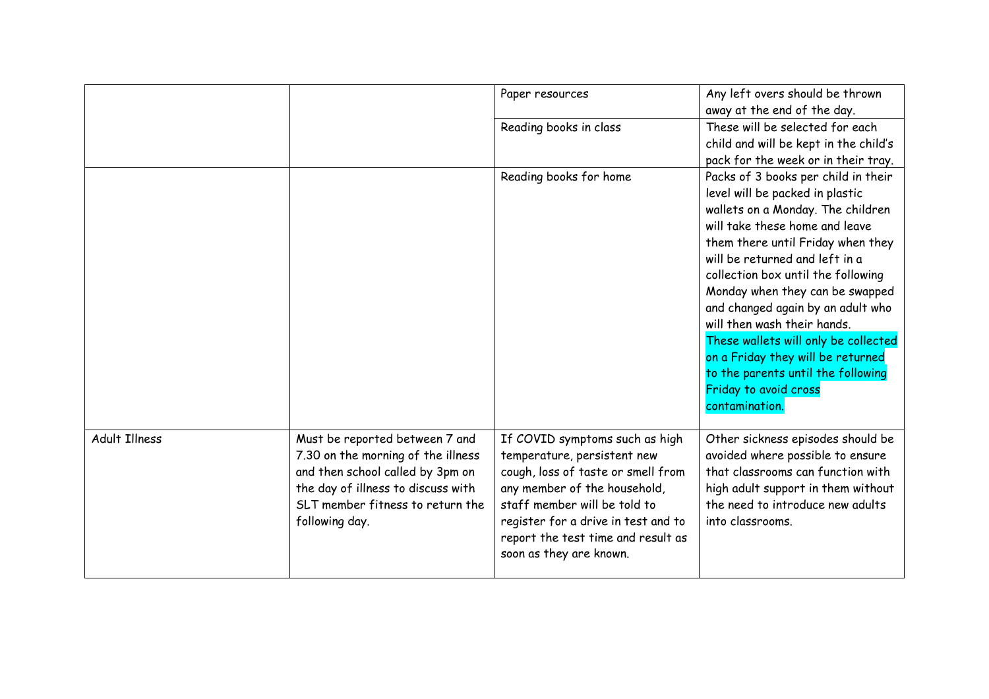|                      |                                                                                                                                                                                                      | Paper resources                                                                                                                                                                                                                                                             | Any left overs should be thrown<br>away at the end of the day.                                                                                                                                                                                                                                                                                                                                                                                                                                                                  |
|----------------------|------------------------------------------------------------------------------------------------------------------------------------------------------------------------------------------------------|-----------------------------------------------------------------------------------------------------------------------------------------------------------------------------------------------------------------------------------------------------------------------------|---------------------------------------------------------------------------------------------------------------------------------------------------------------------------------------------------------------------------------------------------------------------------------------------------------------------------------------------------------------------------------------------------------------------------------------------------------------------------------------------------------------------------------|
|                      |                                                                                                                                                                                                      | Reading books in class                                                                                                                                                                                                                                                      | These will be selected for each<br>child and will be kept in the child's<br>pack for the week or in their tray.                                                                                                                                                                                                                                                                                                                                                                                                                 |
|                      |                                                                                                                                                                                                      | Reading books for home                                                                                                                                                                                                                                                      | Packs of 3 books per child in their<br>level will be packed in plastic<br>wallets on a Monday. The children<br>will take these home and leave<br>them there until Friday when they<br>will be returned and left in a<br>collection box until the following<br>Monday when they can be swapped<br>and changed again by an adult who<br>will then wash their hands.<br>These wallets will only be collected<br>on a Friday they will be returned<br>to the parents until the following<br>Friday to avoid cross<br>contamination. |
| <b>Adult Illness</b> | Must be reported between 7 and<br>7.30 on the morning of the illness<br>and then school called by 3pm on<br>the day of illness to discuss with<br>SLT member fitness to return the<br>following day. | If COVID symptoms such as high<br>temperature, persistent new<br>cough, loss of taste or smell from<br>any member of the household,<br>staff member will be told to<br>register for a drive in test and to<br>report the test time and result as<br>soon as they are known. | Other sickness episodes should be<br>avoided where possible to ensure<br>that classrooms can function with<br>high adult support in them without<br>the need to introduce new adults<br>into classrooms.                                                                                                                                                                                                                                                                                                                        |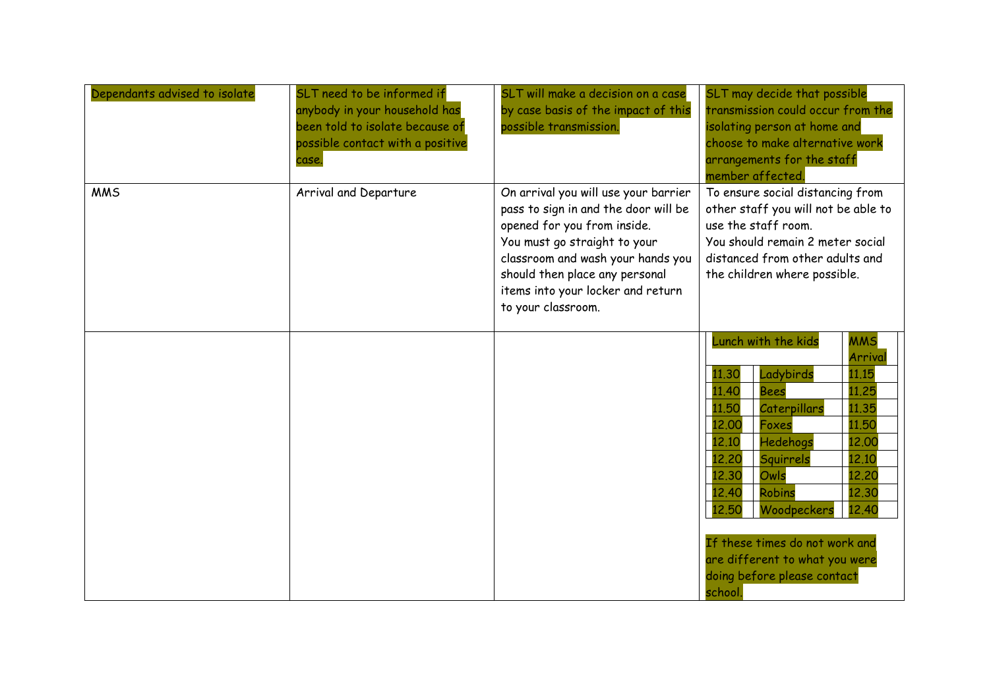| Dependants advised to isolate | SLT need to be informed if<br>anybody in your household has<br>been told to isolate because of<br>possible contact with a positive<br>case. | SLT will make a decision on a case<br>by case basis of the impact of this<br>possible transmission.                                                                                                                                                                           | SLT may decide that possible<br>transmission could occur from the<br>isolating person at home and<br>choose to make alternative work<br>arrangements for the staff<br>member affected.                                                                                                                                                                                                                                                             |
|-------------------------------|---------------------------------------------------------------------------------------------------------------------------------------------|-------------------------------------------------------------------------------------------------------------------------------------------------------------------------------------------------------------------------------------------------------------------------------|----------------------------------------------------------------------------------------------------------------------------------------------------------------------------------------------------------------------------------------------------------------------------------------------------------------------------------------------------------------------------------------------------------------------------------------------------|
| <b>MMS</b>                    | Arrival and Departure                                                                                                                       | On arrival you will use your barrier<br>pass to sign in and the door will be<br>opened for you from inside.<br>You must go straight to your<br>classroom and wash your hands you<br>should then place any personal<br>items into your locker and return<br>to your classroom. | To ensure social distancing from<br>other staff you will not be able to<br>use the staff room.<br>You should remain 2 meter social<br>distanced from other adults and<br>the children where possible.                                                                                                                                                                                                                                              |
|                               |                                                                                                                                             |                                                                                                                                                                                                                                                                               | Lunch with the kids<br><b>MMS</b><br>Arrival<br>Ladybirds<br>11.30<br>11.15<br>11.40<br>11.25<br><b>Bees</b><br>11.35<br>11.50<br>Caterpillars<br>12.00<br>11.50<br><b>Foxes</b><br>12.10<br>Hedehogs<br>12.00<br>12,20<br>12.10<br>Squirrels<br>12,30<br>12.20<br>Owls<br>12.40<br>Robins<br>12.30<br>12.50<br>12.40<br>Woodpeckers<br>If these times do not work and<br>are different to what you were<br>doing before please contact<br>school. |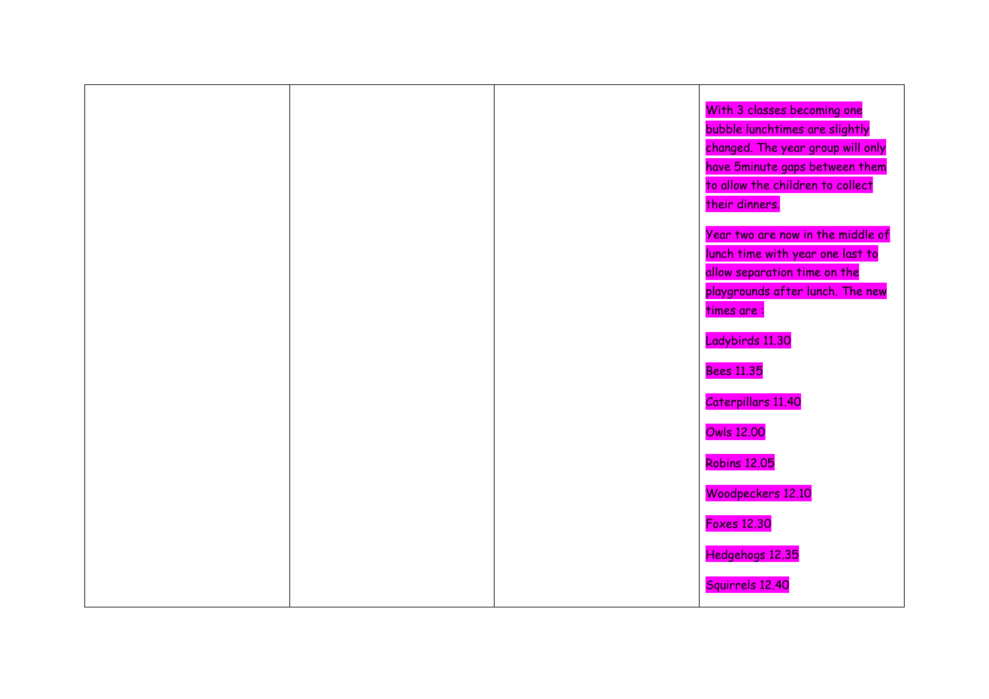|  | With 3 classes becoming one       |
|--|-----------------------------------|
|  | bubble lunchtimes are slightly    |
|  | changed. The year group will only |
|  | have 5minute gaps between them    |
|  | to allow the children to collect  |
|  | their dinners.                    |
|  | Year two are now in the middle of |
|  | lunch time with year one last to  |
|  | allow separation time on the      |
|  | playgrounds after lunch. The new  |
|  | times are:                        |
|  |                                   |
|  | Ladybirds 11.30                   |
|  | <b>Bees 11.35</b>                 |
|  | Caterpillars 11.40                |
|  | <b>Owls 12.00</b>                 |
|  |                                   |
|  | <b>Robins 12.05</b>               |
|  | Woodpeckers 12.10                 |
|  | <b>Foxes 12.30</b>                |
|  | Hedgehogs 12.35                   |
|  |                                   |
|  | Squirrels 12.40                   |
|  |                                   |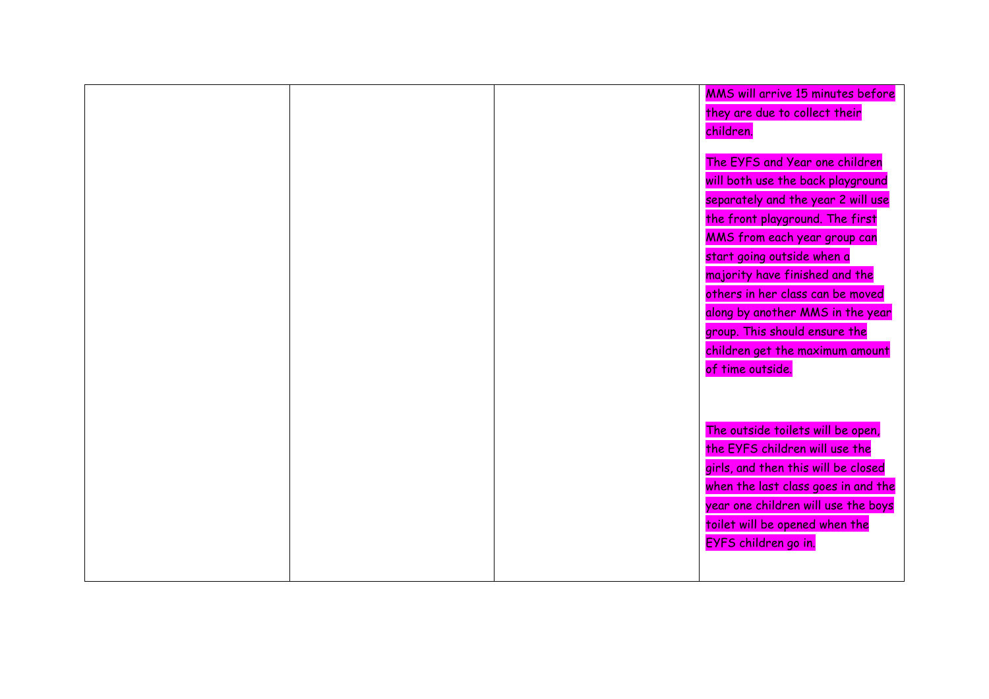|  | MMS will arrive 15 minutes before   |
|--|-------------------------------------|
|  | they are due to collect their       |
|  | children.                           |
|  |                                     |
|  | The EYFS and Year one children      |
|  | will both use the back playground   |
|  | separately and the year 2 will use  |
|  | the front playground. The first     |
|  | MMS from each year group can        |
|  | start going outside when a          |
|  | majority have finished and the      |
|  | others in her class can be moved    |
|  | along by another MMS in the year    |
|  | group. This should ensure the       |
|  | children get the maximum amount     |
|  | of time outside.                    |
|  |                                     |
|  |                                     |
|  |                                     |
|  | The outside toilets will be open,   |
|  | the EYFS children will use the      |
|  | girls, and then this will be closed |
|  | when the last class goes in and the |
|  | year one children will use the boys |
|  | toilet will be opened when the      |
|  | EYFS children go in.                |
|  |                                     |
|  |                                     |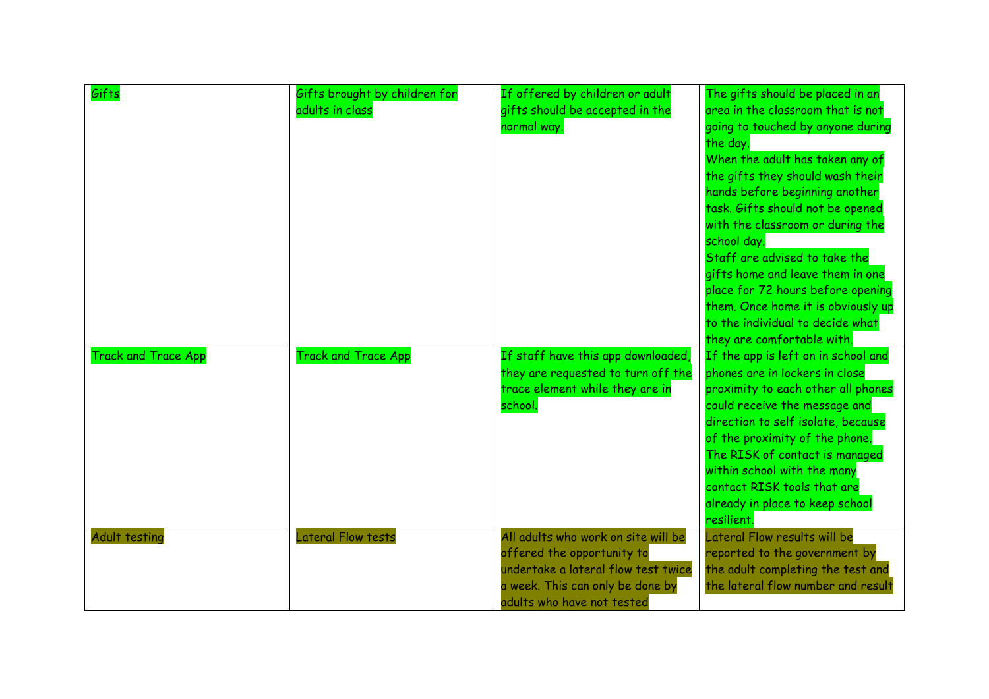| Gifts                      | Gifts brought by children for<br>adults in class | If offered by children or adult<br>gifts should be accepted in the<br>normal way.                                                                                          | The gifts should be placed in an<br>area in the classroom that is not<br>going to touched by anyone during<br>the day.<br>When the adult has taken any of<br>the gifts they should wash their<br>hands before beginning another<br>task. Gifts should not be opened<br>with the classroom or during the<br>school day.<br>Staff are advised to take the<br>gifts home and leave them in one<br>place for 72 hours before opening<br>them. Once home it is obviously up<br>to the individual to decide what<br>they are comfortable with. |
|----------------------------|--------------------------------------------------|----------------------------------------------------------------------------------------------------------------------------------------------------------------------------|------------------------------------------------------------------------------------------------------------------------------------------------------------------------------------------------------------------------------------------------------------------------------------------------------------------------------------------------------------------------------------------------------------------------------------------------------------------------------------------------------------------------------------------|
| <b>Track and Trace App</b> | <b>Track and Trace App</b>                       | If staff have this app downloaded,<br>they are requested to turn off the<br>trace element while they are in<br>school.                                                     | If the app is left on in school and<br>phones are in lockers in close<br>proximity to each other all phones<br>could receive the message and<br>direction to self isolate, because<br>of the proximity of the phone.<br>The RISK of contact is managed<br>within school with the many<br>contact RISK tools that are<br>already in place to keep school<br>resilient.                                                                                                                                                                    |
| Adult testing              | Lateral Flow tests                               | All adults who work on site will be<br>offered the opportunity to<br>undertake a lateral flow test twice<br>a week. This can only be done by<br>adults who have not tested | Lateral Flow results will be<br>reported to the government by<br>the adult completing the test and<br>the lateral flow number and result                                                                                                                                                                                                                                                                                                                                                                                                 |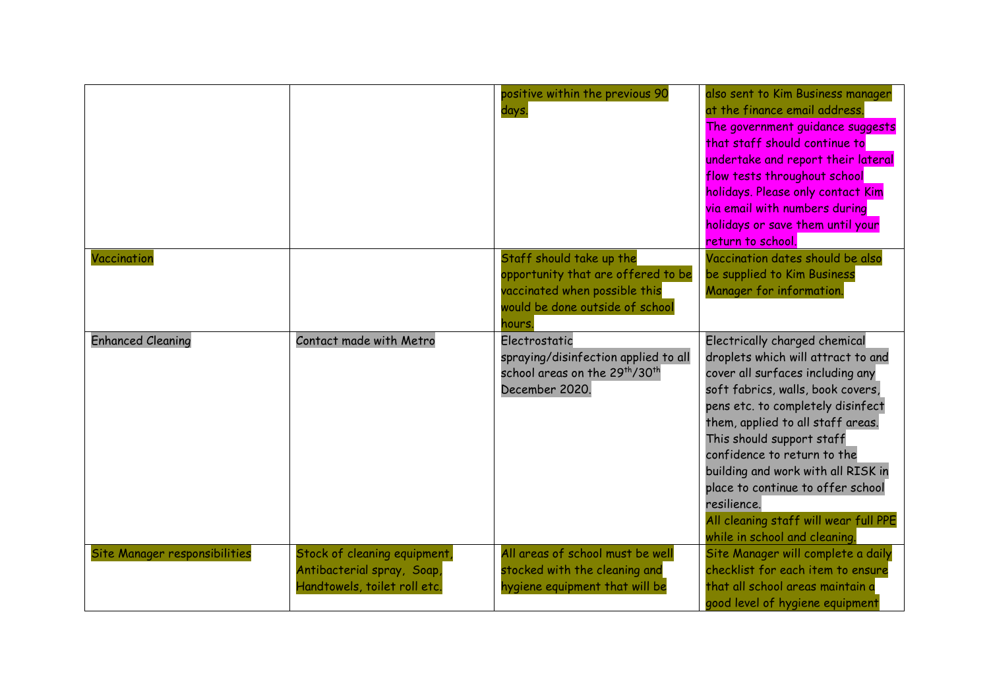|                               |                                                                                            | positive within the previous 90<br>days.                                                                                                    | also sent to Kim Business manager<br>at the finance email address.<br>The government guidance suggests<br>that staff should continue to<br>undertake and report their lateral<br>flow tests throughout school<br>holidays. Please only contact Kim<br>via email with numbers during<br>holidays or save them until your<br>return to school.                                                                                                           |
|-------------------------------|--------------------------------------------------------------------------------------------|---------------------------------------------------------------------------------------------------------------------------------------------|--------------------------------------------------------------------------------------------------------------------------------------------------------------------------------------------------------------------------------------------------------------------------------------------------------------------------------------------------------------------------------------------------------------------------------------------------------|
| Vaccination                   |                                                                                            | Staff should take up the<br>opportunity that are offered to be<br>vaccinated when possible this<br>would be done outside of school<br>hours | Vaccination dates should be also<br>be supplied to Kim Business<br>Manager for information.                                                                                                                                                                                                                                                                                                                                                            |
| <b>Enhanced Cleaning</b>      | Contact made with Metro                                                                    | Electrostatic<br>spraying/disinfection applied to all<br>school areas on the 29th/30th<br>December 2020.                                    | Electrically charged chemical<br>droplets which will attract to and<br>cover all surfaces including any<br>soft fabrics, walls, book covers,<br>pens etc. to completely disinfect<br>them, applied to all staff areas.<br>This should support staff<br>confidence to return to the<br>building and work with all RISK in<br>place to continue to offer school<br>resilience.<br>All cleaning staff will wear full PPE<br>while in school and cleaning. |
| Site Manager responsibilities | Stock of cleaning equipment,<br>Antibacterial spray, Soap,<br>Handtowels, toilet roll etc. | All areas of school must be well<br>stocked with the cleaning and<br>hygiene equipment that will be                                         | Site Manager will complete a daily<br>checklist for each item to ensure<br>that all school areas maintain a<br>good level of hygiene equipment                                                                                                                                                                                                                                                                                                         |